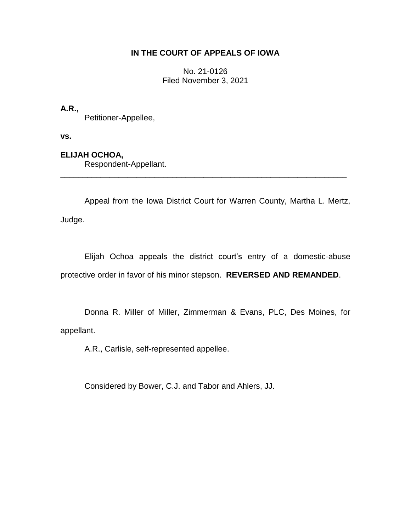## **IN THE COURT OF APPEALS OF IOWA**

No. 21-0126 Filed November 3, 2021

**A.R.,**

Petitioner-Appellee,

**vs.**

**ELIJAH OCHOA,**

Respondent-Appellant.

Appeal from the Iowa District Court for Warren County, Martha L. Mertz, Judge.

\_\_\_\_\_\_\_\_\_\_\_\_\_\_\_\_\_\_\_\_\_\_\_\_\_\_\_\_\_\_\_\_\_\_\_\_\_\_\_\_\_\_\_\_\_\_\_\_\_\_\_\_\_\_\_\_\_\_\_\_\_\_\_\_

Elijah Ochoa appeals the district court's entry of a domestic-abuse protective order in favor of his minor stepson. **REVERSED AND REMANDED**.

Donna R. Miller of Miller, Zimmerman & Evans, PLC, Des Moines, for appellant.

A.R., Carlisle, self-represented appellee.

Considered by Bower, C.J. and Tabor and Ahlers, JJ.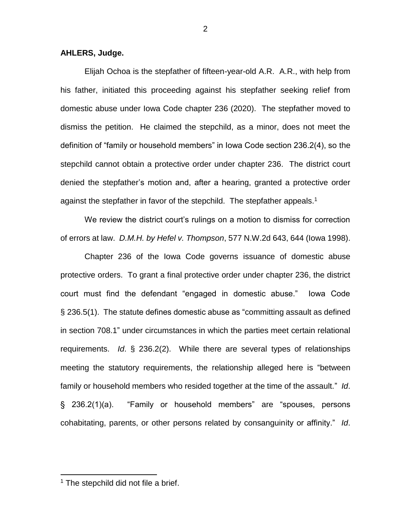## **AHLERS, Judge.**

Elijah Ochoa is the stepfather of fifteen-year-old A.R. A.R., with help from his father, initiated this proceeding against his stepfather seeking relief from domestic abuse under Iowa Code chapter 236 (2020). The stepfather moved to dismiss the petition. He claimed the stepchild, as a minor, does not meet the definition of "family or household members" in Iowa Code section 236.2(4), so the stepchild cannot obtain a protective order under chapter 236. The district court denied the stepfather's motion and, after a hearing, granted a protective order against the stepfather in favor of the stepchild. The stepfather appeals.<sup>1</sup>

We review the district court's rulings on a motion to dismiss for correction of errors at law. *D.M.H. by Hefel v. Thompson*, 577 N.W.2d 643, 644 (Iowa 1998).

Chapter 236 of the Iowa Code governs issuance of domestic abuse protective orders. To grant a final protective order under chapter 236, the district court must find the defendant "engaged in domestic abuse." Iowa Code § 236.5(1). The statute defines domestic abuse as "committing assault as defined in section 708.1" under circumstances in which the parties meet certain relational requirements. *Id*. § 236.2(2). While there are several types of relationships meeting the statutory requirements, the relationship alleged here is "between family or household members who resided together at the time of the assault." *Id*. § 236.2(1)(a). "Family or household members" are "spouses, persons cohabitating, parents, or other persons related by consanguinity or affinity." *Id*.

 $\overline{a}$ 

<sup>&</sup>lt;sup>1</sup> The stepchild did not file a brief.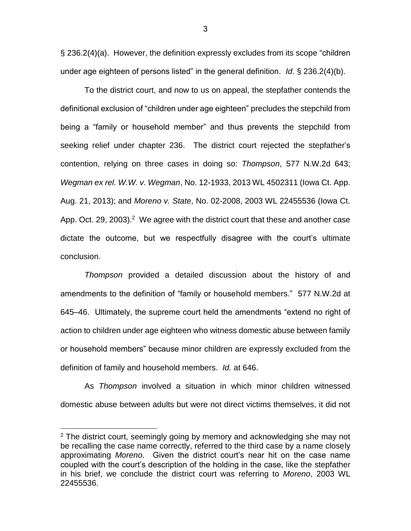§ 236.2(4)(a). However, the definition expressly excludes from its scope "children under age eighteen of persons listed" in the general definition. *Id*. § 236.2(4)(b).

To the district court, and now to us on appeal, the stepfather contends the definitional exclusion of "children under age eighteen" precludes the stepchild from being a "family or household member" and thus prevents the stepchild from seeking relief under chapter 236. The district court rejected the stepfather's contention, relying on three cases in doing so: *Thompson*, 577 N.W.2d 643; *Wegman ex rel. W.W. v. Wegman*, No. 12-1933, 2013 WL 4502311 (Iowa Ct. App. Aug. 21, 2013); and *Moreno v. State*, No. 02-2008, 2003 WL 22455536 (Iowa Ct. App. Oct. 29, 2003).<sup>2</sup> We agree with the district court that these and another case dictate the outcome, but we respectfully disagree with the court's ultimate conclusion.

*Thompson* provided a detailed discussion about the history of and amendments to the definition of "family or household members." 577 N.W.2d at 645–46. Ultimately, the supreme court held the amendments "extend no right of action to children under age eighteen who witness domestic abuse between family or household members" because minor children are expressly excluded from the definition of family and household members. *Id.* at 646.

As *Thompson* involved a situation in which minor children witnessed domestic abuse between adults but were not direct victims themselves, it did not

 $\overline{a}$ 

<sup>&</sup>lt;sup>2</sup> The district court, seemingly going by memory and acknowledging she may not be recalling the case name correctly, referred to the third case by a name closely approximating *Moreno*. Given the district court's near hit on the case name coupled with the court's description of the holding in the case, like the stepfather in his brief, we conclude the district court was referring to *Moreno*, 2003 WL 22455536.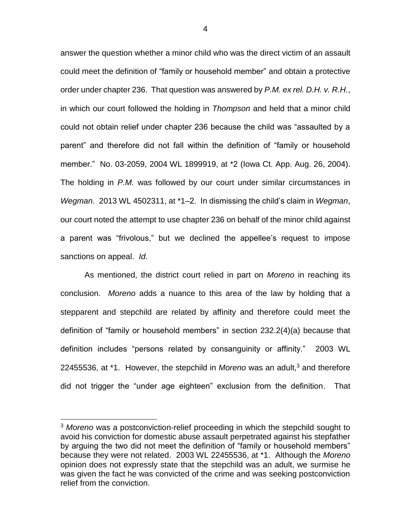answer the question whether a minor child who was the direct victim of an assault could meet the definition of "family or household member" and obtain a protective order under chapter 236. That question was answered by *P.M. ex rel. D.H. v. R.H.*, in which our court followed the holding in *Thompson* and held that a minor child could not obtain relief under chapter 236 because the child was "assaulted by a parent" and therefore did not fall within the definition of "family or household member." No. 03-2059, 2004 WL 1899919, at \*2 (Iowa Ct. App. Aug. 26, 2004). The holding in *P.M.* was followed by our court under similar circumstances in *Wegman*. 2013 WL 4502311, at \*1–2. In dismissing the child's claim in *Wegman*, our court noted the attempt to use chapter 236 on behalf of the minor child against a parent was "frivolous," but we declined the appellee's request to impose sanctions on appeal. *Id*.

As mentioned, the district court relied in part on *Moreno* in reaching its conclusion. *Moreno* adds a nuance to this area of the law by holding that a stepparent and stepchild are related by affinity and therefore could meet the definition of "family or household members" in section 232.2(4)(a) because that definition includes "persons related by consanguinity or affinity." 2003 WL 22455536, at <sup>\*</sup>1. However, the stepchild in *Moreno* was an adult,<sup>3</sup> and therefore did not trigger the "under age eighteen" exclusion from the definition. That

 $\overline{a}$ 

<sup>3</sup> *Moreno* was a postconviction-relief proceeding in which the stepchild sought to avoid his conviction for domestic abuse assault perpetrated against his stepfather by arguing the two did not meet the definition of "family or household members" because they were not related. 2003 WL 22455536, at \*1. Although the *Moreno* opinion does not expressly state that the stepchild was an adult, we surmise he was given the fact he was convicted of the crime and was seeking postconviction relief from the conviction.